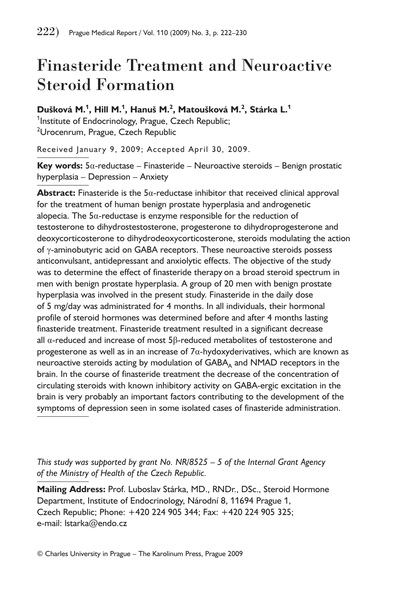# Finasteride Treatment and Neuroactive Steroid Formation

**Dušková M.<sup>1</sup> , Hill M.<sup>1</sup> , Hanuš M.<sup>2</sup> , Matoušková M.<sup>2</sup> , Stárka L.<sup>1</sup>**  $^{\mathsf{1}}$ Institute of Endocrinology, Prague, Czech Republic; <sup>2</sup>Urocenrum, Prague, Czech Republic

Received January 9, 2009; Accepted April 30, 2009.

**Key words:** 5α-reductase – Finasteride – Neuroactive steroids – Benign prostatic hyperplasia – Depression – Anxiety

**Abstract:** Finasteride is the 5α-reductase inhibitor that received clinical approval for the treatment of human benign prostate hyperplasia and androgenetic alopecia. The  $5\alpha$ -reductase is enzyme responsible for the reduction of testosterone to dihydrostestosterone, progesterone to dihydroprogesterone and deoxycorticosterone to dihydrodeoxycorticosterone, steroids modulating the action of γ-aminobutyric acid on GABA receptors. These neuroactive steroids possess anticonvulsant, antidepressant and anxiolytic effects. The objective of the study was to determine the effect of finasteride therapy on a broad steroid spectrum in men with benign prostate hyperplasia. A group of 20 men with benign prostate hyperplasia was involved in the present study. Finasteride in the daily dose of 5 mg/day was administrated for 4 months. In all individuals, their hormonal profile of steroid hormones was determined before and after 4 months lasting finasteride treatment. Finasteride treatment resulted in a significant decrease all α-reduced and increase of most 5β-reduced metabolites of testosterone and progesterone as well as in an increase of 7α-hydoxyderivatives, which are known as neuroactive steroids acting by modulation of  $GABA_A$  and  $NMAD$  receptors in the brain. In the course of finasteride treatment the decrease of the concentration of circulating steroids with known inhibitory activity on GABA-ergic excitation in the brain is very probably an important factors contributing to the development of the symptoms of depression seen in some isolated cases of finasteride administration.

*This study was supported by grant No. NR/8525 – 5 of the Internal Grant Agency of the Ministry of Health of the Czech Republic.*

**Mailing Address:** Prof. Luboslav Stárka, MD., RNDr., DSc., Steroid Hormone Department, Institute of Endocrinology, Národní 8, 11694 Prague 1, Czech Republic; Phone: +420 224 905 344; Fax: +420 224 905 325; e-mail: lstarka@endo.cz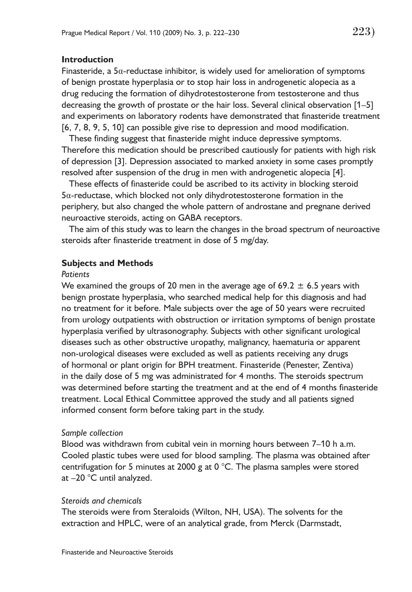### **Introduction**

Finasteride, a  $5\alpha$ -reductase inhibitor, is widely used for amelioration of symptoms of benign prostate hyperplasia or to stop hair loss in androgenetic alopecia as a drug reducing the formation of dihydrotestosterone from testosterone and thus decreasing the growth of prostate or the hair loss. Several clinical observation [1–5] and experiments on laboratory rodents have demonstrated that finasteride treatment [6, 7, 8, 9, 5, 10] can possible give rise to depression and mood modification.

These finding suggest that finasteride might induce depressive symptoms. Therefore this medication should be prescribed cautiously for patients with high risk of depression [3]. Depression associated to marked anxiety in some cases promptly resolved after suspension of the drug in men with androgenetic alopecia [4].

These effects of finasteride could be ascribed to its activity in blocking steroid 5α-reductase, which blocked not only dihydrotestosterone formation in the periphery, but also changed the whole pattern of androstane and pregnane derived neuroactive steroids, acting on GABA receptors.

The aim of this study was to learn the changes in the broad spectrum of neuroactive steroids after finasteride treatment in dose of 5 mg/day.

#### **Subjects and Methods**

#### *Patients*

We examined the groups of 20 men in the average age of 69.2  $\pm$  6.5 years with benign prostate hyperplasia, who searched medical help for this diagnosis and had no treatment for it before. Male subjects over the age of 50 years were recruited from urology outpatients with obstruction or irritation symptoms of benign prostate hyperplasia verified by ultrasonography. Subjects with other significant urological diseases such as other obstructive uropathy, malignancy, haematuria or apparent non-urological diseases were excluded as well as patients receiving any drugs of hormonal or plant origin for BPH treatment. Finasteride (Penester, Zentiva) in the daily dose of 5 mg was administrated for 4 months. The steroids spectrum was determined before starting the treatment and at the end of 4 months finasteride treatment. Local Ethical Committee approved the study and all patients signed informed consent form before taking part in the study.

#### *Sample collection*

Blood was withdrawn from cubital vein in morning hours between 7–10 h a.m. Cooled plastic tubes were used for blood sampling. The plasma was obtained after centrifugation for 5 minutes at 2000 g at 0  $^{\circ}$ C. The plasma samples were stored at –20 °C until analyzed.

#### *Steroids and chemicals*

The steroids were from Steraloids (Wilton, NH, USA). The solvents for the extraction and HPLC, were of an analytical grade, from Merck (Darmstadt,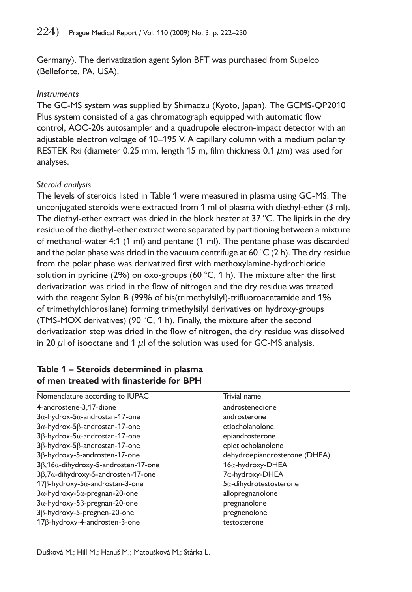Germany). The derivatization agent Sylon BFT was purchased from Supelco (Bellefonte, PA, USA).

## *Instruments*

The GC-MS system was supplied by Shimadzu (Kyoto, Japan). The GCMS-QP2010 Plus system consisted of a gas chromatograph equipped with automatic flow control, AOC-20s autosampler and a quadrupole electron-impact detector with an adjustable electron voltage of 10–195 V. A capillary column with a medium polarity RESTEK Rxi (diameter 0.25 mm, length 15 m, film thickness 0.1  $\mu$ m) was used for analyses.

## *Steroid analysis*

The levels of steroids listed in Table 1 were measured in plasma using GC-MS. The unconjugated steroids were extracted from 1 ml of plasma with diethyl-ether (3 ml). The diethyl-ether extract was dried in the block heater at  $37 \degree C$ . The lipids in the dry residue of the diethyl-ether extract were separated by partitioning between a mixture of methanol-water 4:1 (1 ml) and pentane (1 ml). The pentane phase was discarded and the polar phase was dried in the vacuum centrifuge at 60  $^{\circ}$ C (2 h). The dry residue from the polar phase was derivatized first with methoxylamine-hydrochloride solution in pyridine (2%) on oxo-groups (60 °C, 1 h). The mixture after the first derivatization was dried in the flow of nitrogen and the dry residue was treated with the reagent Sylon B (99% of bis(trimethylsilyl)-trifluoroacetamide and 1% of trimethylchlorosilane) forming trimethylsilyl derivatives on hydroxy-groups (TMS-MOX derivatives) (90 $^{\circ}$ C, 1 h). Finally, the mixture after the second derivatization step was dried in the flow of nitrogen, the dry residue was dissolved in 20  $\mu$ l of isooctane and 1  $\mu$ l of the solution was used for GC-MS analysis.

| Nomenclature according to IUPAC                      | Trivial name                   |
|------------------------------------------------------|--------------------------------|
| 4-androstene-3,17-dione                              | androstenedione                |
| $3\alpha$ -hydrox-5 $\alpha$ -androstan-17-one       | androsterone                   |
| $3\alpha$ -hydrox-5 $\beta$ -androstan-17-one        | etiocholanolone                |
| $3\beta$ -hydrox-5 $\alpha$ -androstan-17-one        | epiandrosterone                |
| $3\beta$ -hydrox-5 $\beta$ -androstan-17-one         | epietiocholanolone             |
| 3β-hydroxy-5-androsten-17-one                        | dehydroepiandrosterone (DHEA)  |
| $3\beta$ , 16 $\alpha$ -dihydroxy-5-androsten-17-one | $16\alpha$ -hydroxy-DHEA       |
| $3\beta$ , 7 $\alpha$ -dihydroxy-5-androsten-17-one  | $7\alpha$ -hydroxy-DHEA        |
| $17\beta$ -hydroxy-5 $\alpha$ -androstan-3-one       | $5\alpha$ -dihydrotestosterone |
| $3\alpha$ -hydroxy- $5\alpha$ -pregnan-20-one        | allopregnanolone               |
| $3\alpha$ -hydroxy-5 $\beta$ -pregnan-20-one         | pregnanolone                   |
| $3\beta$ -hydroxy-5-pregnen-20-one                   | pregnenolone                   |
| $17\beta$ -hydroxy-4-androsten-3-one                 | testosterone                   |

## **Table 1 – Steroids determined in plasma of men treated with finasteride for BPH**

Dušková M.; Hill M.; Hanuš M.; Matoušková M.; Stárka L.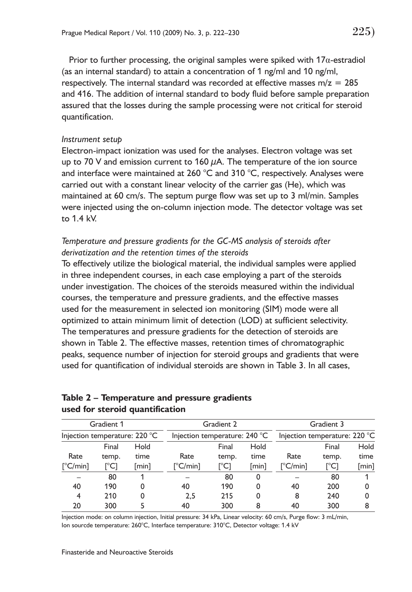Prior to further processing, the original samples were spiked with 17α-estradiol (as an internal standard) to attain a concentration of 1 ng/ml and 10 ng/ml, respectively. The internal standard was recorded at effective masses  $m/z = 285$ and 416. The addition of internal standard to body fluid before sample preparation assured that the losses during the sample processing were not critical for steroid quantification.

#### *Instrument setup*

Electron-impact ionization was used for the analyses. Electron voltage was set up to 70 V and emission current to 160  $\mu$ A. The temperature of the ion source and interface were maintained at 260 °C and 310 °C, respectively. Analyses were carried out with a constant linear velocity of the carrier gas (He), which was maintained at 60 cm/s. The septum purge flow was set up to 3 ml/min. Samples were injected using the on-column injection mode. The detector voltage was set to 1.4 kV.

# *Temperature and pressure gradients for the GC-MS analysis of steroids after derivatization and the retention times of the steroids*

To effectively utilize the biological material, the individual samples were applied in three independent courses, in each case employing a part of the steroids under investigation. The choices of the steroids measured within the individual courses, the temperature and pressure gradients, and the effective masses used for the measurement in selected ion monitoring (SIM) mode were all optimized to attain minimum limit of detection (LOD) at sufficient selectivity. The temperatures and pressure gradients for the detection of steroids are shown in Table 2. The effective masses, retention times of chromatographic peaks, sequence number of injection for steroid groups and gradients that were used for quantification of individual steroids are shown in Table 3. In all cases,

|                             | Gradient 1                                                              |       |                   | Gradient 2                    |          | Gradient 3                                       |                     |             |  |
|-----------------------------|-------------------------------------------------------------------------|-------|-------------------|-------------------------------|----------|--------------------------------------------------|---------------------|-------------|--|
|                             | Injection temperature: 220 °C<br>Injection temperature: $240^{\circ}$ C |       |                   | Injection temperature: 220 °C |          |                                                  |                     |             |  |
|                             | Final                                                                   | Hold  |                   | Final                         | Hold     |                                                  | Final               | <b>Hold</b> |  |
| Rate                        | temp.                                                                   | time  | Rate              | temp.                         | time     | Rate                                             | temp.               | time        |  |
| $\lceil^{\circ}C/min\rceil$ | ™C]                                                                     | [min] | $[^{\circ}C/min]$ | [°C]                          | [min]    | $\lceil ^{\circ} \mathsf{C}/\mathsf{min} \rceil$ | $\Gamma^{\circ}$ C1 | [min]       |  |
|                             | 80                                                                      |       |                   | 80                            | $\Omega$ |                                                  | 80                  |             |  |
| 40                          | 190                                                                     | 0     | 40                | 190                           | 0        | 40                                               | 200                 | 0           |  |
| 4                           | 210                                                                     | 0     | 2.5               | 215                           | 0        | 8                                                | 240                 | 0           |  |
| 20                          | 300                                                                     |       | 40                | 300                           | 8        | 40                                               | 300                 | 8           |  |

## **Table 2 – Temperature and pressure gradients used for steroid quantification**

Injection mode: on column injection, Initial pressure: 34 kPa, Linear velocity: 60 cm/s, Purge flow: 3 mL/min, Ion sourcde temperature: 260°C, Interface temperature: 310°C, Detector voltage: 1.4 kV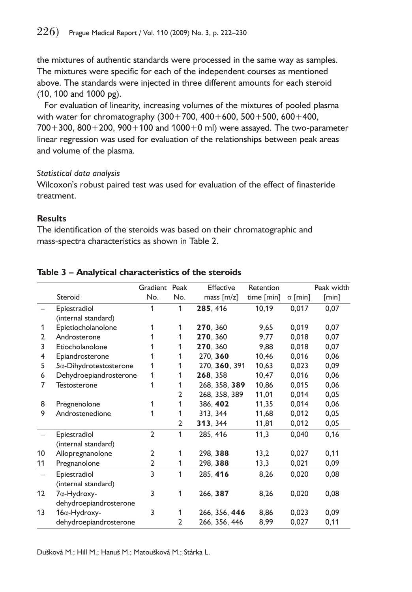the mixtures of authentic standards were processed in the same way as samples. The mixtures were specific for each of the independent courses as mentioned above. The standards were injected in three different amounts for each steroid (10, 100 and 1000 pg).

For evaluation of linearity, increasing volumes of the mixtures of pooled plasma with water for chromatography (300+700, 400+600, 500+500, 600+400, 700+300, 800+200, 900+100 and 1000+0 ml) were assayed. The two-parameter linear regression was used for evaluation of the relationships between peak areas and volume of the plasma.

## *Statistical data analysis*

Wilcoxon's robust paired test was used for evaluation of the effect of finasteride treatment.

## **Results**

The identification of the steroids was based on their chromatographic and mass-spectra characteristics as shown in Table 2.

|                                |                |                        | Effective     | Retention  |                                                 | Peak width |
|--------------------------------|----------------|------------------------|---------------|------------|-------------------------------------------------|------------|
| Steroid                        | No.            | No.                    | mass $[m/z]$  | time [min] | $\sigma$ [min]                                  | [min]      |
| Epiestradiol                   | 1              | 1                      | 285, 416      | 10,19      | 0,017                                           | 0,07       |
| (internal standard)            |                |                        |               |            |                                                 |            |
| Epietiocholanolone             | 1              | 1                      | 270, 360      | 9,65       | 0,019                                           | 0,07       |
| Androsterone                   |                | 1                      | 270, 360      | 9.77       | 0,018                                           | 0,07       |
| Etiocholanolone                |                | 1                      | 270, 360      | 9,88       | 0,018                                           | 0,07       |
| Epiandrosterone                | 1              | 1                      | 270, 360      | 10.46      | 0.016                                           | 0,06       |
| $5\alpha$ -Dihydrotestosterone | 1              | 1                      |               | 10,63      | 0.023                                           | 0,09       |
|                                | 1              | 1                      | 268, 358      | 10,47      | 0,016                                           | 0,06       |
| Testosterone                   | 1              | 1                      |               | 10,86      | 0,015                                           | 0,06       |
|                                |                | $\overline{2}$         | 268, 358, 389 | 11,01      | 0,014                                           | 0,05       |
| Pregnenolone                   | 1              | 1                      | 386, 402      | 11,35      | 0,014                                           | 0,06       |
| Androstenedione                | 1              | 1                      | 313, 344      | 11,68      | 0,012                                           | 0,05       |
|                                |                | $\overline{2}$         | 313, 344      | 11,81      | 0,012                                           | 0,05       |
| Epiestradiol                   | $\overline{2}$ | 1                      | 285, 416      | 11,3       | 0,040                                           | 0,16       |
| (internal standard)            |                |                        |               |            |                                                 |            |
| Allopregnanolone               | $\overline{2}$ | 1                      | 298, 388      | 13,2       | 0,027                                           | 0,11       |
| Pregnanolone                   | $\overline{2}$ | 1                      | 298, 388      | 13,3       | 0,021                                           | 0,09       |
| Epiestradiol                   | 3              | 1                      | 285, 416      | 8,26       | 0,020                                           | 0,08       |
| (internal standard)            |                |                        |               |            |                                                 |            |
| $7\alpha$ -Hydroxy-            | 3              | 1                      | 266, 387      | 8,26       | 0,020                                           | 0,08       |
| dehydroepiandrosterone         |                |                        |               |            |                                                 |            |
| $16\alpha$ -Hydroxy-           | 3              | 1                      |               | 8,86       | 0,023                                           | 0,09       |
| dehydroepiandrosterone         |                | 2                      | 266, 356, 446 | 8,99       | 0,027                                           | 0,11       |
|                                |                | Dehydroepiandrosterone | Gradient Peak |            | 270, 360, 391<br>268, 358, 389<br>266, 356, 446 |            |

## **Table 3 – Analytical characteristics of the steroids**

Dušková M.; Hill M.; Hanuš M.; Matoušková M.; Stárka L.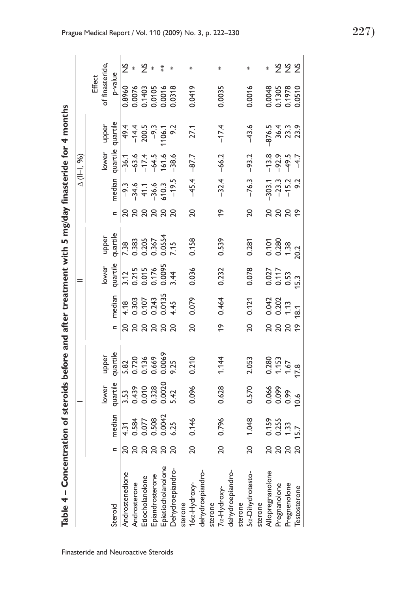| $\frac{1}{2}$                                    |  |
|--------------------------------------------------|--|
|                                                  |  |
| l                                                |  |
|                                                  |  |
|                                                  |  |
|                                                  |  |
|                                                  |  |
| ֧֖֪ׅׅׅ֚֚֚֚֚֚֚֚֚֚֚֚֚֚֚֚֚֚֚֝֝֝֝֝֝֝֝֝֬֝֬֝֬֝֬֝֓֬֝֬֝֬ |  |
|                                                  |  |
|                                                  |  |
|                                                  |  |
|                                                  |  |
|                                                  |  |
|                                                  |  |
|                                                  |  |
|                                                  |  |
|                                                  |  |
|                                                  |  |
|                                                  |  |
|                                                  |  |
|                                                  |  |
|                                                  |  |
|                                                  |  |
|                                                  |  |
|                                                  |  |
|                                                  |  |
|                                                  |  |
|                                                  |  |
|                                                  |  |
|                                                  |  |
| I                                                |  |
|                                                  |  |
| S                                                |  |
|                                                  |  |

| Table 4 – Concentration of steroids before and after treatment with 5 mg/day finasteride for 4 months                   |                |                                                     |                                                                           |                                                                                 |                 |                                                     |                                                                                                                 |                                                        |                |                                                                                                                                                                        |                                                     |                                                                         |                                                |               |
|-------------------------------------------------------------------------------------------------------------------------|----------------|-----------------------------------------------------|---------------------------------------------------------------------------|---------------------------------------------------------------------------------|-----------------|-----------------------------------------------------|-----------------------------------------------------------------------------------------------------------------|--------------------------------------------------------|----------------|------------------------------------------------------------------------------------------------------------------------------------------------------------------------|-----------------------------------------------------|-------------------------------------------------------------------------|------------------------------------------------|---------------|
|                                                                                                                         |                |                                                     |                                                                           |                                                                                 |                 |                                                     | $=$                                                                                                             |                                                        |                |                                                                                                                                                                        | $\triangle$ (11-1, %)                               |                                                                         |                                                |               |
|                                                                                                                         |                |                                                     |                                                                           |                                                                                 |                 |                                                     |                                                                                                                 |                                                        |                |                                                                                                                                                                        |                                                     |                                                                         | Effect                                         |               |
|                                                                                                                         |                |                                                     | lower                                                                     |                                                                                 |                 |                                                     | lower                                                                                                           |                                                        |                |                                                                                                                                                                        | lower                                               | upper                                                                   | of finasteride,                                |               |
| Steroid                                                                                                                 |                | median                                              | quartile<br>$3.53$<br>$0.439$<br>$0.070$<br>$0.328$<br>$0.0020$<br>$5.42$ | upper<br>quartile                                                               |                 | median                                              | quartile                                                                                                        | upper<br>quartile                                      |                | median                                                                                                                                                                 | quartile                                            | quartile                                                                | p-value                                        |               |
| Androstenedione                                                                                                         |                | $4.31$<br>0.584<br>0.077<br>0.508<br>0.0042<br>6.25 |                                                                           | $\overline{5.82}$<br>$0.720$<br>$0.36$<br>$0.66$<br>$0.068$<br>$0.25$<br>$0.25$ |                 |                                                     | $\begin{array}{c cc}\n\hline\n3.12 & 0.215 \\ 0.215 & 0.0095 \\ 0.0176 & 0.0095 \\ 0.00095 & 0.44\n\end{array}$ | $7.\overline{38}$<br>0.383<br>0.205<br>0.367<br>0.0554 |                |                                                                                                                                                                        |                                                     |                                                                         |                                                | $\frac{5}{2}$ |
|                                                                                                                         |                |                                                     |                                                                           |                                                                                 |                 |                                                     |                                                                                                                 |                                                        |                |                                                                                                                                                                        |                                                     |                                                                         |                                                |               |
|                                                                                                                         | នននននន         |                                                     |                                                                           |                                                                                 | នននន            | $4.18$<br>0.303<br>0.107<br>0.243<br>0.0135<br>4.45 |                                                                                                                 |                                                        | 88888          |                                                                                                                                                                        | $-36.1$<br>$-63.4$<br>$-17.4$<br>$-16.4$<br>$-18.6$ | $49.4$<br>$-14.4$<br>$-00.7$<br>$-0.06$<br>$-0.06$<br>$-0.2$<br>$-0.06$ |                                                |               |
|                                                                                                                         |                |                                                     |                                                                           |                                                                                 |                 |                                                     |                                                                                                                 |                                                        |                |                                                                                                                                                                        |                                                     |                                                                         |                                                |               |
|                                                                                                                         |                |                                                     |                                                                           |                                                                                 |                 |                                                     |                                                                                                                 |                                                        |                |                                                                                                                                                                        |                                                     |                                                                         |                                                |               |
| Androsterone<br>Etiocholanolone<br>Epiandrosterone<br>Epietiocholanolone<br>Dehydroepiandro-<br>sterone<br>16α-Hydroxy- |                |                                                     |                                                                           |                                                                                 |                 |                                                     |                                                                                                                 |                                                        |                | $\frac{1}{9}$<br>$\frac{3}{4}$<br>$\frac{4}{4}$<br>$\frac{4}{4}$<br>$\frac{4}{8}$<br>$\frac{6}{9}$<br>$\frac{6}{9}$<br>$\frac{7}{8}$<br>$\frac{8}{1}$<br>$\frac{7}{8}$ |                                                     |                                                                         | 0.8960<br>0.0076<br>0.0105<br>0.0016<br>0.0318 |               |
|                                                                                                                         |                |                                                     |                                                                           |                                                                                 |                 |                                                     |                                                                                                                 |                                                        |                |                                                                                                                                                                        |                                                     |                                                                         |                                                |               |
|                                                                                                                         | $\overline{c}$ | 0.146                                               | 0.096                                                                     | 0.210                                                                           | 20              | 0.079                                               | 0.036                                                                                                           | 0.158                                                  | 20             | $-45.4$                                                                                                                                                                | $-87.7$                                             | 27.1                                                                    | 0.0419                                         |               |
|                                                                                                                         |                |                                                     |                                                                           |                                                                                 |                 |                                                     |                                                                                                                 |                                                        |                |                                                                                                                                                                        |                                                     |                                                                         |                                                |               |
| sterone                                                                                                                 |                |                                                     |                                                                           |                                                                                 |                 |                                                     |                                                                                                                 |                                                        |                |                                                                                                                                                                        |                                                     |                                                                         |                                                |               |
|                                                                                                                         | 20             | 0.796                                               | 0.628                                                                     | 1.144                                                                           | ę,              | 0.464                                               | 0.232                                                                                                           | 0.539                                                  | 6 L            | $-32.4$                                                                                                                                                                | $-66.2$                                             | $-17.4$                                                                 | 0.0035                                         |               |
| 7a-Hydroxy-<br>dehydroepiandro-                                                                                         |                |                                                     |                                                                           |                                                                                 |                 |                                                     |                                                                                                                 |                                                        |                |                                                                                                                                                                        |                                                     |                                                                         |                                                |               |
| sterone                                                                                                                 |                |                                                     |                                                                           |                                                                                 |                 |                                                     |                                                                                                                 |                                                        |                |                                                                                                                                                                        |                                                     |                                                                         |                                                |               |
| 5a-Dihydrotesto-                                                                                                        | 20             | 1.048                                               | 0.570                                                                     | 2.053                                                                           | $\overline{20}$ | 0.121                                               | 0.078                                                                                                           | 0.281                                                  | $\overline{c}$ | $-76.3$                                                                                                                                                                | $-93.2$                                             | $-43.6$                                                                 | 0.0016                                         |               |
| sterone                                                                                                                 |                |                                                     |                                                                           |                                                                                 |                 |                                                     |                                                                                                                 |                                                        |                |                                                                                                                                                                        |                                                     |                                                                         |                                                |               |
|                                                                                                                         |                |                                                     | 0.066<br>0.099<br>0.09<br>10.6                                            | 0.280<br>1.153<br>17.8<br>17.8                                                  |                 |                                                     |                                                                                                                 | 0.101<br>0.280<br>1.38<br>20.2                         |                |                                                                                                                                                                        |                                                     |                                                                         | 0.0048<br>0.1305<br>0.1978<br>0.0510           |               |
| Allopregnanolone<br>Pregnanolone                                                                                        | នននន           | 0.159<br>0.255<br>1.33<br>15.7                      |                                                                           |                                                                                 | ននន             | 0.042<br>0.202<br>1.13                              | $0.027$<br>$0.17$<br>$0.53$<br>$0.53$                                                                           |                                                        | <u>ន ន ន ទ</u> | 303.1<br>-- 23.2<br>-- 15.2<br>-- 9.2                                                                                                                                  | $7.38$<br>$7.59$<br>$7.7$<br>$7.7$                  | 876.5<br>36.7<br>873.9<br>873.9                                         |                                                |               |
| Pregnenolone                                                                                                            |                |                                                     |                                                                           |                                                                                 |                 |                                                     |                                                                                                                 |                                                        |                |                                                                                                                                                                        |                                                     |                                                                         |                                                | 222           |
| Testosterone                                                                                                            |                |                                                     |                                                                           |                                                                                 | $\frac{6}{1}$   | 18.1                                                |                                                                                                                 |                                                        |                |                                                                                                                                                                        |                                                     |                                                                         |                                                |               |
|                                                                                                                         |                |                                                     |                                                                           |                                                                                 |                 |                                                     |                                                                                                                 |                                                        |                |                                                                                                                                                                        |                                                     |                                                                         |                                                |               |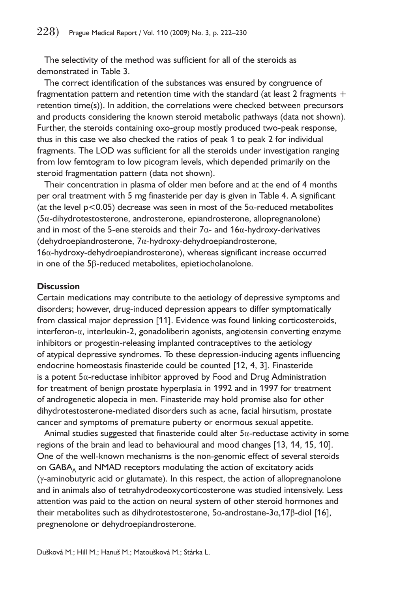The selectivity of the method was sufficient for all of the steroids as demonstrated in Table 3.

The correct identification of the substances was ensured by congruence of fragmentation pattern and retention time with the standard (at least 2 fragments  $+$ retention time(s)). In addition, the correlations were checked between precursors and products considering the known steroid metabolic pathways (data not shown). Further, the steroids containing oxo-group mostly produced two-peak response, thus in this case we also checked the ratios of peak 1 to peak 2 for individual fragments. The LOD was sufficient for all the steroids under investigation ranging from low femtogram to low picogram levels, which depended primarily on the steroid fragmentation pattern (data not shown).

Their concentration in plasma of older men before and at the end of 4 months per oral treatment with 5 mg finasteride per day is given in Table 4. A significant (at the level  $p < 0.05$ ) decrease was seen in most of the  $5\alpha$ -reduced metabolites (5α-dihydrotestosterone, androsterone, epiandrosterone, allopregnanolone) and in most of the 5-ene steroids and their  $7\alpha$ - and  $16\alpha$ -hydroxy-derivatives (dehydroepiandrosterone, 7α-hydroxy-dehydroepiandrosterone, 16α-hydroxy-dehydroepiandrosterone), whereas significant increase occurred in one of the 5β-reduced metabolites, epietiocholanolone.

#### **Discussion**

Certain medications may contribute to the aetiology of depressive symptoms and disorders; however, drug-induced depression appears to differ symptomatically from classical major depression [11]. Evidence was found linking corticosteroids, interferon-α, interleukin-2, gonadoliberin agonists, angiotensin converting enzyme inhibitors or progestin-releasing implanted contraceptives to the aetiology of atypical depressive syndromes. To these depression-inducing agents influencing endocrine homeostasis finasteride could be counted [12, 4, 3]. Finasteride is a potent 5α-reductase inhibitor approved by Food and Drug Administration for treatment of benign prostate hyperplasia in 1992 and in 1997 for treatment of androgenetic alopecia in men. Finasteride may hold promise also for other dihydrotestosterone-mediated disorders such as acne, facial hirsutism, prostate cancer and symptoms of premature puberty or enormous sexual appetite.

Animal studies suggested that finasteride could alter  $5\alpha$ -reductase activity in some regions of the brain and lead to behavioural and mood changes [13, 14, 15, 10]. One of the well-known mechanisms is the non-genomic effect of several steroids on  $GABA<sub>A</sub>$  and NMAD receptors modulating the action of excitatory acids (γ-aminobutyric acid or glutamate). In this respect, the action of allopregnanolone and in animals also of tetrahydrodeoxycorticosterone was studied intensively. Less attention was paid to the action on neural system of other steroid hormones and their metabolites such as dihydrotestosterone, 5α-androstane-3α,17β-diol [16], pregnenolone or dehydroepiandrosterone.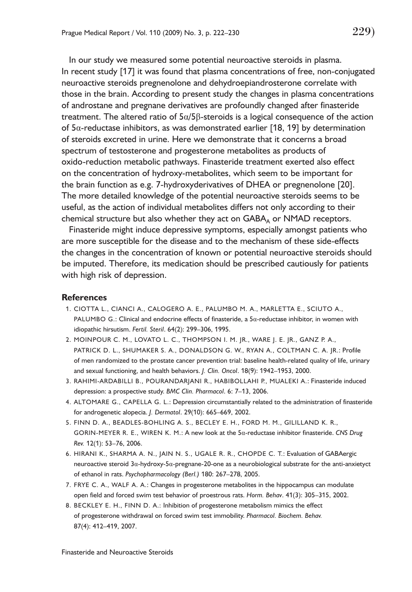In our study we measured some potential neuroactive steroids in plasma. In recent study [17] it was found that plasma concentrations of free, non-conjugated neuroactive steroids pregnenolone and dehydroepiandrosterone correlate with those in the brain. According to present study the changes in plasma concentrations of androstane and pregnane derivatives are profoundly changed after finasteride treatment. The altered ratio of  $5\alpha/5\beta$ -steroids is a logical consequence of the action of 5α-reductase inhibitors, as was demonstrated earlier [18, 19] by determination of steroids excreted in urine. Here we demonstrate that it concerns a broad spectrum of testosterone and progesterone metabolites as products of oxido-reduction metabolic pathways. Finasteride treatment exerted also effect on the concentration of hydroxy-metabolites, which seem to be important for the brain function as e.g. 7-hydroxyderivatives of DHEA or pregnenolone [20]. The more detailed knowledge of the potential neuroactive steroids seems to be useful, as the action of individual metabolites differs not only according to their chemical structure but also whether they act on  $GABA_A$  or  $NMAD$  receptors.

Finasteride might induce depressive symptoms, especially amongst patients who are more susceptible for the disease and to the mechanism of these side-effects the changes in the concentration of known or potential neuroactive steroids should be imputed. Therefore, its medication should be prescribed cautiously for patients with high risk of depression.

#### **References**

- 1. CIOTTA L., CIANCI A., CALOGERO A. E., PALUMBO M. A., MARLETTA E., SCIUTO A., PALUMBO G.: Clinical and endocrine effects of finasteride, a 5α-reductase inhibitor, in women with idiopathic hirsutism. *Fertil. Steril*. 64(2): 299–306, 1995.
- 2. MOINPOUR C. M., LOVATO L. C., THOMPSON I. M. JR., WARE J. E. JR., GANZ P. A., PATRICK D. L., SHUMAKER S. A., DONALDSON G. W., RYAN A., COLTMAN C. A. JR.: Profile of men randomized to the prostate cancer prevention trial: baseline health-related quality of life, urinary and sexual functioning, and health behaviors. *J. Clin. Oncol*. 18(9): 1942–1953, 2000.
- 3. RAHIMI-ARDABILLI B., POURANDARJANI R., HABIBOLLAHI P., MUALEKI A.: Finasteride induced depression: a prospective study. *BMC Clin. Pharmacol*. 6: 7–13, 2006.
- 4. ALTOMARE G., CAPELLA G. L.: Depression circumstantially related to the administration of finasteride for androgenetic alopecia. *J. Dermatol*. 29(10): 665–669, 2002.
- 5. FINN D. A., BEADLES-BOHLING A. S., BECLEY E. H., FORD M. M., GILILLAND K. R., GORIN-MEYER R. E., WIREN K. M.: A new look at the 5α-reductase inhibitor finasteride. *CNS Drug Rev.* 12(1): 53–76, 2006.
- 6. HIRANI K., SHARMA A. N., JAIN N. S., UGALE R. R., CHOPDE C. T.: Evaluation of GABAergic neuroactive steroid 3α-hydroxy-5α-pregnane-20-one as a neurobiological substrate for the anti-anxietyct of ethanol in rats. *Psychopharmacology (Berl.)* 180: 267–278, 2005.
- 7. FRYE C. A., WALF A. A.: Changes in progesterone metabolites in the hippocampus can modulate open field and forced swim test behavior of proestrous rats. *Horm. Behav*. 41(3): 305–315, 2002.
- 8. BECKLEY E. H., FINN D. A.: Inhibition of progesterone metabolism mimics the effect of progesterone withdrawal on forced swim test immobility. *Pharmacol. Biochem. Behav.* 87(4): 412–419, 2007.